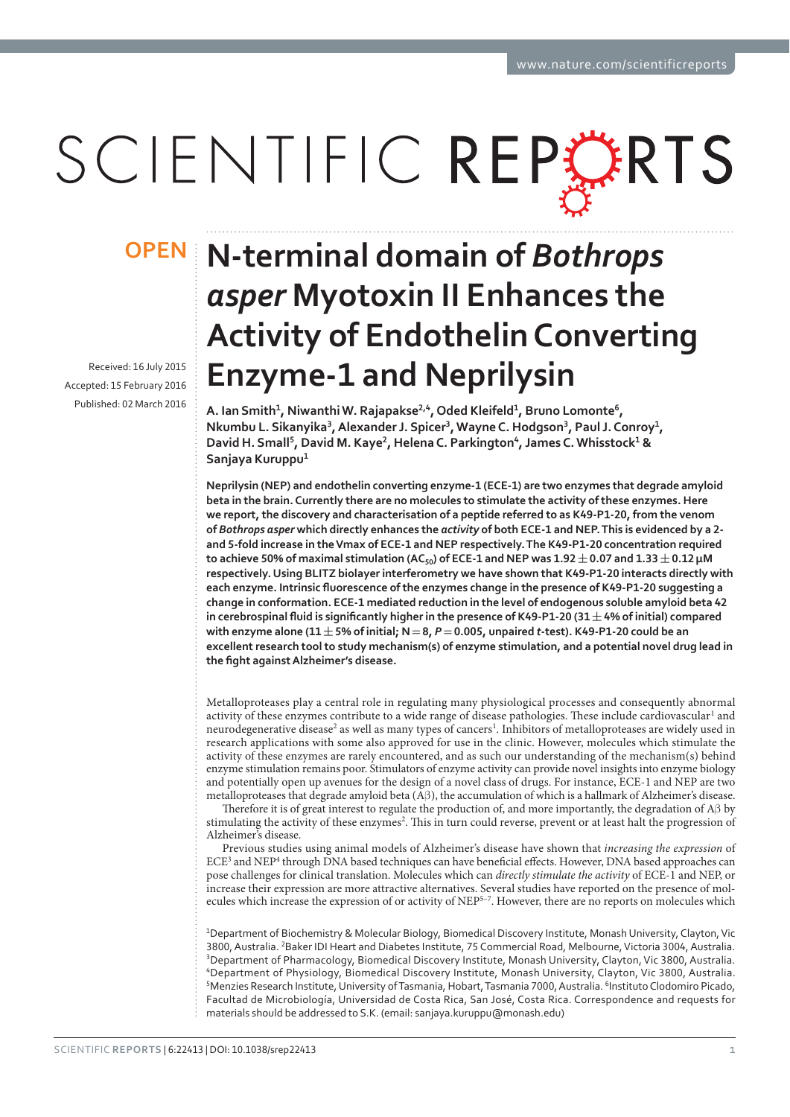# SCIENTIFIC REPLARTS

Received: 16 July 2015 Accepted: 15 February 2016 Published: 02 March 2016

## **N-terminal domain of** *Bothrops*  **OPEN***asper* **Myotoxin II Enhances the Activity of Endothelin Converting Enzyme-1 and Neprilysin**

**A.** Ian Smith<sup>1</sup>, Niwanthi W. Rajapakse<sup>2,4</sup>, Oded Kleifeld<sup>1</sup>, Bruno Lomonte<sup>6</sup>, **Nkumbu L. Sikanyika<sup>3</sup>, Alexander J. Spicer<sup>3</sup>, Wayne C. Hodgson<sup>3</sup>, Paul J. Conroy<sup>1</sup>, David H. Small<sup>5</sup>, David M. Kaye<sup>2</sup>, Helena C. Parkington<sup>4</sup>, James C. Whisstock<sup>1</sup> &** Sanjaya **Kuruppu**<sup>1</sup>

Neprilysin (NEP) and endothelin converting enzyme-1 (ECE-1) are two enzymes that degrade amyloid **beta in the brain. Currently there are no molecules to stimulate the activity of these enzymes. Here**  we report, the discovery and characterisation of a peptide referred to as K49-P1-20, from the venom of *Bothrops asper* which directly enhances the *activity* of both ECE-1 and NEP. This is evidenced by a 2and 5-fold increase in the Vmax of ECE-1 and NEP respectively. The K49-P1-20 concentration required to achieve 50% of maximal stimulation (AC<sub>50</sub>) of ECE-1 and NEP was  $1.92 \pm 0.07$  and  $1.33 \pm 0.12$  µM respectively. Using BLITZ biolayer interferometry we have shown that K49-P1-20 interacts directly with each enzyme. Intrinsic fluorescence of the enzymes change in the presence of K49-P1-20 suggesting a change in conformation. ECE-1 mediated reduction in the level of endogenous soluble amyloid beta 42 in cerebrospinal fluid is significantly higher in the presence of K49-P1-20 (31  $\pm$  4% of initial) compared  $with$ enzyme alone (11 $\pm$  5% of initial;  $N = 8$ ,  $P = 0.005$ , unpaired t-test). K49-P1-20 could be an excellent research tool to study mechanism(s) of enzyme stimulation, and a potential novel drug lead in the fight against Alzheimer's disease.

Metalloproteases play a central role in regulating many physiological processes and consequently abnormal activity of these enzymes contribute to a wide range of disease pathologies. These include cardiovascular<sup>1</sup> and neurodegenerative disease<sup>2</sup> as well as many types of cancers<sup>1</sup>. Inhibitors of metalloproteases are widely used in research applications with some also approved for use in the clinic. However, molecules which stimulate the activity of these enzymes are rarely encountered, and as such our understanding of the mechanism(s) behind enzyme stimulation remains poor. Stimulators of enzyme activity can provide novel insights into enzyme biology and potentially open up avenues for the design of a novel class of drugs. For instance, ECE-1 and NEP are two metalloproteases that degrade amyloid beta (Aβ ), the accumulation of which is a hallmark of Alzheimer's disease.

Therefore it is of great interest to regulate the production of, and more importantly, the degradation of Aβ by stimulating the activity of these enzymes<sup>2</sup>. This in turn could reverse, prevent or at least halt the progression of Alzheimer's disease.

Previous studies using animal models of Alzheimer's disease have shown that *increasing the expression* of ECE<sup>3</sup> and NEP<sup>4</sup> through DNA based techniques can have beneficial effects. However, DNA based approaches can pose challenges for clinical translation. Molecules which can *directly stimulate the activity* of ECE-1 and NEP, or increase their expression are more attractive alternatives. Several studies have reported on the presence of molecules which increase the expression of or activity of NEP5–7. However, there are no reports on molecules which

<sup>1</sup>Department of Biochemistry & Molecular Biology, Biomedical Discovery Institute, Monash University, Clayton, Vic 3800, Australia. <sup>2</sup>Baker IDI Heart and Diabetes Institute, 75 Commercial Road, Melbourne, Victoria 3004, Australia. <sup>3</sup>Department of Pharmacology, Biomedical Discovery Institute, Monash University, Clayton, Vic 3800, Australia. <sup>4</sup>Department of Physiology, Biomedical Discovery Institute, Monash University, Clayton, Vic 3800, Australia.  $^5$ Menzies Research Institute, University of Tasmania, Hobart, Tasmania 7000, Australia.  $^6$ Instituto Clodomiro Picado, Facultad de Microbiología, Universidad de Costa Rica, San José, Costa Rica. Correspondence and requests for materials should be addressed to S.K. (email: sanjaya.kuruppu@monash.edu)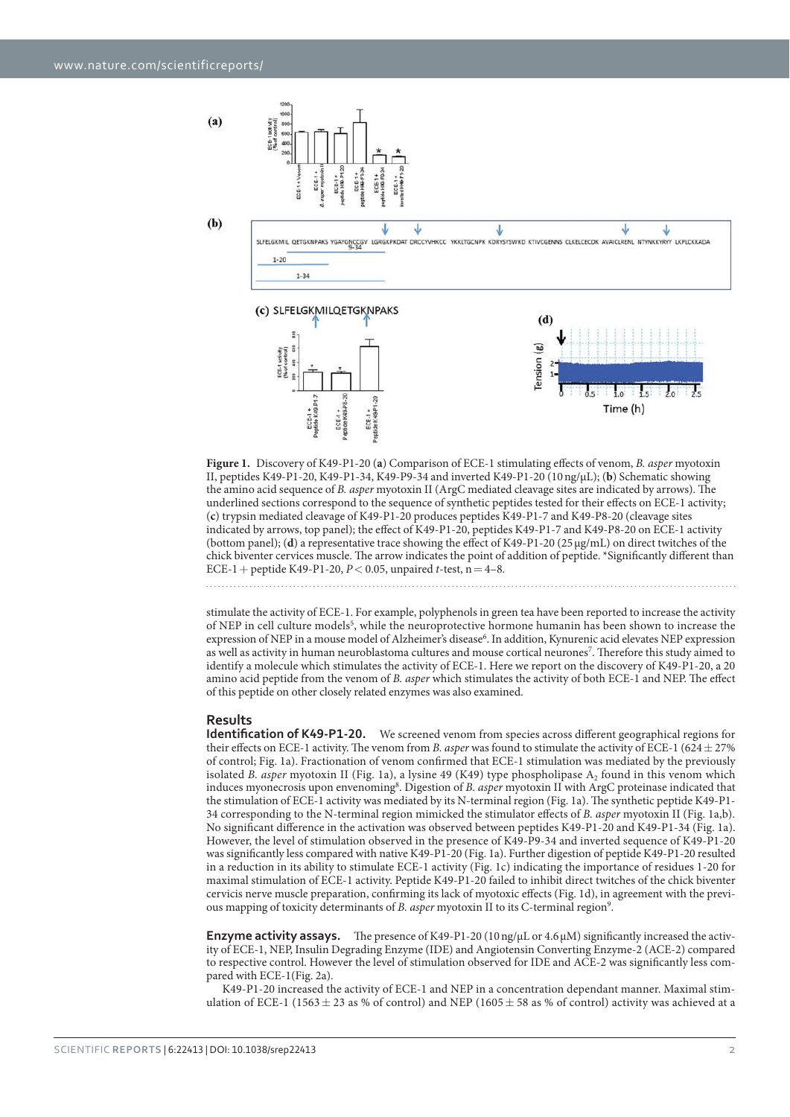$(a)$ 



**Figure 1.** Discovery of K49-P1-20 (**a**) Comparison of ECE-1 stimulating effects of venom, *B. asper* myotoxin II, peptides K49-P1-20, K49-P1-34, K49-P9-34 and inverted K49-P1-20 (10 ng/μL); (**b**) Schematic showing the amino acid sequence of *B. asper* myotoxin II (ArgC mediated cleavage sites are indicated by arrows). The underlined sections correspond to the sequence of synthetic peptides tested for their effects on ECE-1 activity; (**c**) trypsin mediated cleavage of K49-P1-20 produces peptides K49-P1-7 and K49-P8-20 (cleavage sites indicated by arrows, top panel); the effect of K49-P1-20, peptides K49-P1-7 and K49-P8-20 on ECE-1 activity (bottom panel); (**d**) a representative trace showing the effect of K49-P1-20 (25 μg/mL) on direct twitches of the chick biventer cervices muscle. The arrow indicates the point of addition of peptide. \*Significantly different than ECE-1 + peptide K49-P1-20, *P*< 0.05, unpaired *t*-test, n = 4–8.

stimulate the activity of ECE-1. For example, polyphenols in green tea have been reported to increase the activity of NEP in cell culture models<sup>5</sup>, while the neuroprotective hormone humanin has been shown to increase the expression of NEP in a mouse model of Alzheimer's disease<sup>6</sup>. In addition, Kynurenic acid elevates NEP expression as well as activity in human neuroblastoma cultures and mouse cortical neurones<sup>7</sup>. Therefore this study aimed to identify a molecule which stimulates the activity of ECE-1. Here we report on the discovery of K49-P1-20, a 20 amino acid peptide from the venom of *B. asper* which stimulates the activity of both ECE-1 and NEP. The effect of this peptide on other closely related enzymes was also examined.

### **Results**

**Identification of K49-P1-20.** We screened venom from species across different geographical regions for their effects on ECE-1 activity. The venom from *B. asper* was found to stimulate the activity of ECE-1 (624  $\pm$  27%) of control; Fig. 1a). Fractionation of venom confirmed that ECE-1 stimulation was mediated by the previously isolated *B. asper* myotoxin II (Fig. 1a), a lysine 49 (K49) type phospholipase A<sub>2</sub> found in this venom which induces myonecrosis upon envenoming<sup>8</sup>. Digestion of *B. asper* myotoxin II with ArgC proteinase indicated that the stimulation of ECE-1 activity was mediated by its N-terminal region (Fig. 1a). The synthetic peptide K49-P1- 34 corresponding to the N-terminal region mimicked the stimulator effects of *B. asper* myotoxin II (Fig. 1a,b). No significant difference in the activation was observed between peptides K49-P1-20 and K49-P1-34 (Fig. 1a). However, the level of stimulation observed in the presence of K49-P9-34 and inverted sequence of K49-P1-20 was significantly less compared with native K49-P1-20 (Fig. 1a). Further digestion of peptide K49-P1-20 resulted in a reduction in its ability to stimulate ECE-1 activity (Fig. 1c) indicating the importance of residues 1-20 for maximal stimulation of ECE-1 activity. Peptide K49-P1-20 failed to inhibit direct twitches of the chick biventer cervicis nerve muscle preparation, confirming its lack of myotoxic effects (Fig. 1d), in agreement with the previous mapping of toxicity determinants of *B. asper* myotoxin II to its C-terminal region<sup>9</sup>.

**Enzyme activity assays.** The presence of K49-P1-20 (10 ng/μL or 4.6 μM) significantly increased the activity of ECE-1, NEP, Insulin Degrading Enzyme (IDE) and Angiotensin Converting Enzyme-2 (ACE-2) compared to respective control. However the level of stimulation observed for IDE and ACE-2 was significantly less compared with ECE-1(Fig. 2a).

K49-P1-20 increased the activity of ECE-1 and NEP in a concentration dependant manner. Maximal stimulation of ECE-1 (1563  $\pm$  23 as % of control) and NEP (1605  $\pm$  58 as % of control) activity was achieved at a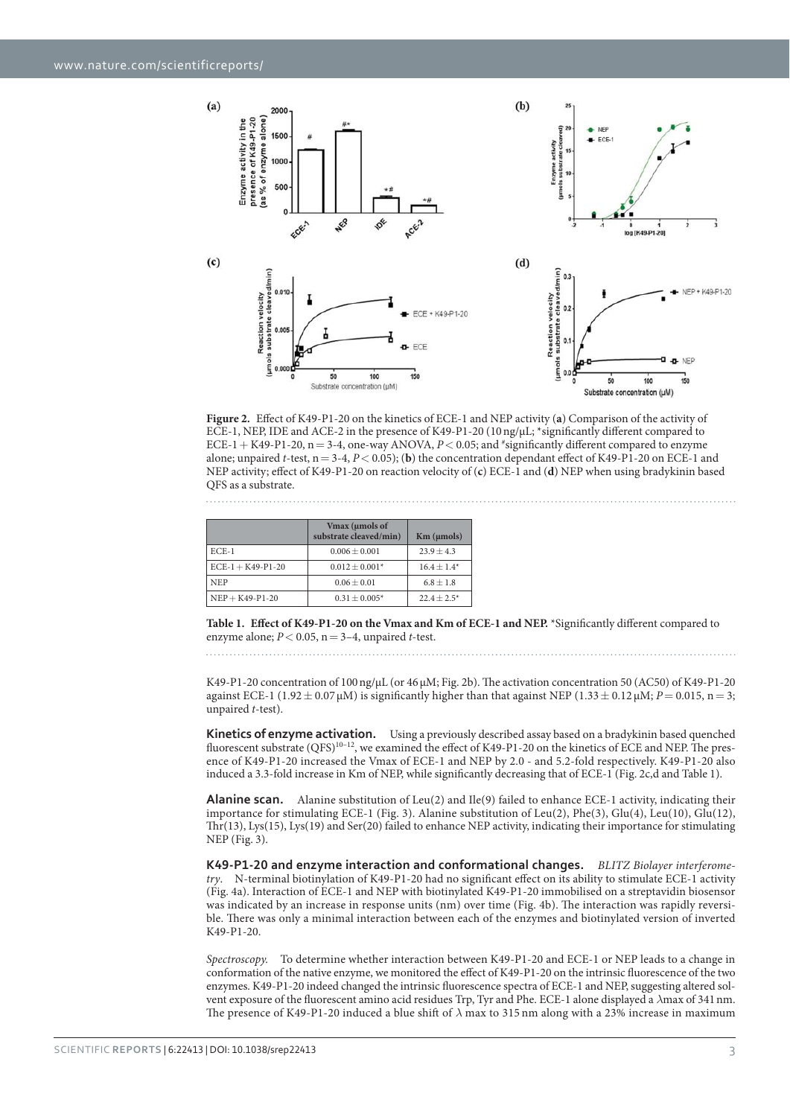

**Figure 2.** Effect of K49-P1-20 on the kinetics of ECE-1 and NEP activity (**a**) Comparison of the activity of ECE-1, NEP, IDE and ACE-2 in the presence of K49-P1-20 (10 ng/μL; \*significantly different compared to ECE-1 + K49-P1-20,  $n = 3-4$ , one-way ANOVA,  $P < 0.05$ ; and  $*$ significantly different compared to enzyme alone; unpaired *t*-test,  $n = 3-4$ ,  $P < 0.05$ ); (b) the concentration dependant effect of K49-P1-20 on ECE-1 and NEP activity; effect of K49-P1-20 on reaction velocity of (**c**) ECE-1 and (**d**) NEP when using bradykinin based QFS as a substrate.

|                       | Vmax (umols of<br>substrate cleaved/min) | $Km$ ( $\mu$ mols) |
|-----------------------|------------------------------------------|--------------------|
| $ECE-1$               | $0.006 + 0.001$                          | $23.9 + 4.3$       |
| $ECE-1 + K49-P1-20$   | $0.012 + 0.001*$                         | $16.4 + 1.4*$      |
| <b>NEP</b>            | $0.06 + 0.01$                            | $6.8 + 1.8$        |
| $NEP + K49 - P1 - 20$ | $0.31 + 0.005*$                          | $22.4 + 2.5*$      |

**Table 1. Effect of K49-P1-20 on the Vmax and Km of ECE-1 and NEP.** \*Significantly different compared to enzyme alone;  $P < 0.05$ ,  $n = 3-4$ , unpaired *t*-test.

K49-P1-20 concentration of 100 ng/μL (or 46 μM; Fig. 2b). The activation concentration 50 (AC50) of K49-P1-20 against ECE-1 (1.92  $\pm$  0.07  $\mu$ M) is significantly higher than that against NEP (1.33  $\pm$  0.12  $\mu$ M; *P* = 0.015, n = 3; unpaired *t*-test).

**Kinetics of enzyme activation.** Using a previously described assay based on a bradykinin based quenched fluorescent substrate (QFS)<sup>10–12</sup>, we examined the effect of K49-P1-20 on the kinetics of ECE and NEP. The presence of K49-P1-20 increased the Vmax of ECE-1 and NEP by 2.0 - and 5.2-fold respectively. K49-P1-20 also induced a 3.3-fold increase in Km of NEP, while significantly decreasing that of ECE-1 (Fig. 2c,d and Table 1).

**Alanine scan.** Alanine substitution of Leu(2) and Ile(9) failed to enhance ECE-1 activity, indicating their importance for stimulating ECE-1 (Fig. 3). Alanine substitution of Leu(2), Phe(3), Glu(4), Leu(10), Glu(12), Thr(13), Lys(15), Lys(19) and Ser(20) failed to enhance NEP activity, indicating their importance for stimulating NEP (Fig. 3).

K49-P1-20 and enzyme interaction and conformational changes. BLITZ Biolayer interferome*try*. N-terminal biotinylation of K49-P1-20 had no significant effect on its ability to stimulate ECE-1 activity (Fig. 4a). Interaction of ECE-1 and NEP with biotinylated K49-P1-20 immobilised on a streptavidin biosensor was indicated by an increase in response units (nm) over time (Fig. 4b). The interaction was rapidly reversible. There was only a minimal interaction between each of the enzymes and biotinylated version of inverted K49-P1-20.

*Spectroscopy.* To determine whether interaction between K49-P1-20 and ECE-1 or NEP leads to a change in conformation of the native enzyme, we monitored the effect of K49-P1-20 on the intrinsic fluorescence of the two enzymes. K49-P1-20 indeed changed the intrinsic fluorescence spectra of ECE-1 and NEP, suggesting altered solvent exposure of the fluorescent amino acid residues Trp, Tyr and Phe. ECE-1 alone displayed a *λ*max of 341 nm. The presence of K49-P1-20 induced a blue shift of *λ* max to 315 nm along with a 23% increase in maximum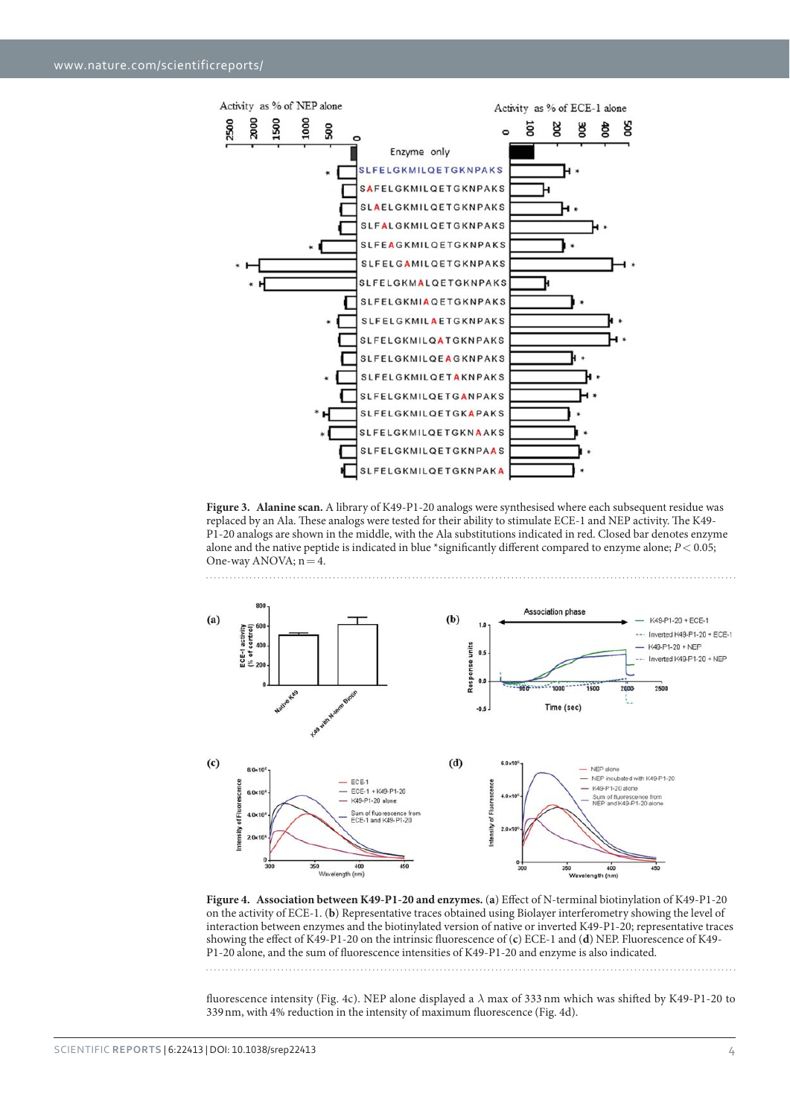

**Figure 3. Alanine scan.** A library of K49-P1-20 analogs were synthesised where each subsequent residue was replaced by an Ala. These analogs were tested for their ability to stimulate ECE-1 and NEP activity. The K49- P1-20 analogs are shown in the middle, with the Ala substitutions indicated in red. Closed bar denotes enzyme alone and the native peptide is indicated in blue \*significantly different compared to enzyme alone; *P*< 0.05; One-way ANOVA;  $n = 4$ .



**Figure 4. Association between K49-P1-20 and enzymes.** (**a**) Effect of N-terminal biotinylation of K49-P1-20 on the activity of ECE-1. (**b**) Representative traces obtained using Biolayer interferometry showing the level of interaction between enzymes and the biotinylated version of native or inverted K49-P1-20; representative traces showing the effect of K49-P1-20 on the intrinsic fluorescence of (**c**) ECE-1 and (**d**) NEP. Fluorescence of K49- P1-20 alone, and the sum of fluorescence intensities of K49-P1-20 and enzyme is also indicated.

fluorescence intensity (Fig. 4c). NEP alone displayed a *λ* max of 333 nm which was shifted by K49-P1-20 to 339 nm, with 4% reduction in the intensity of maximum fluorescence (Fig. 4d).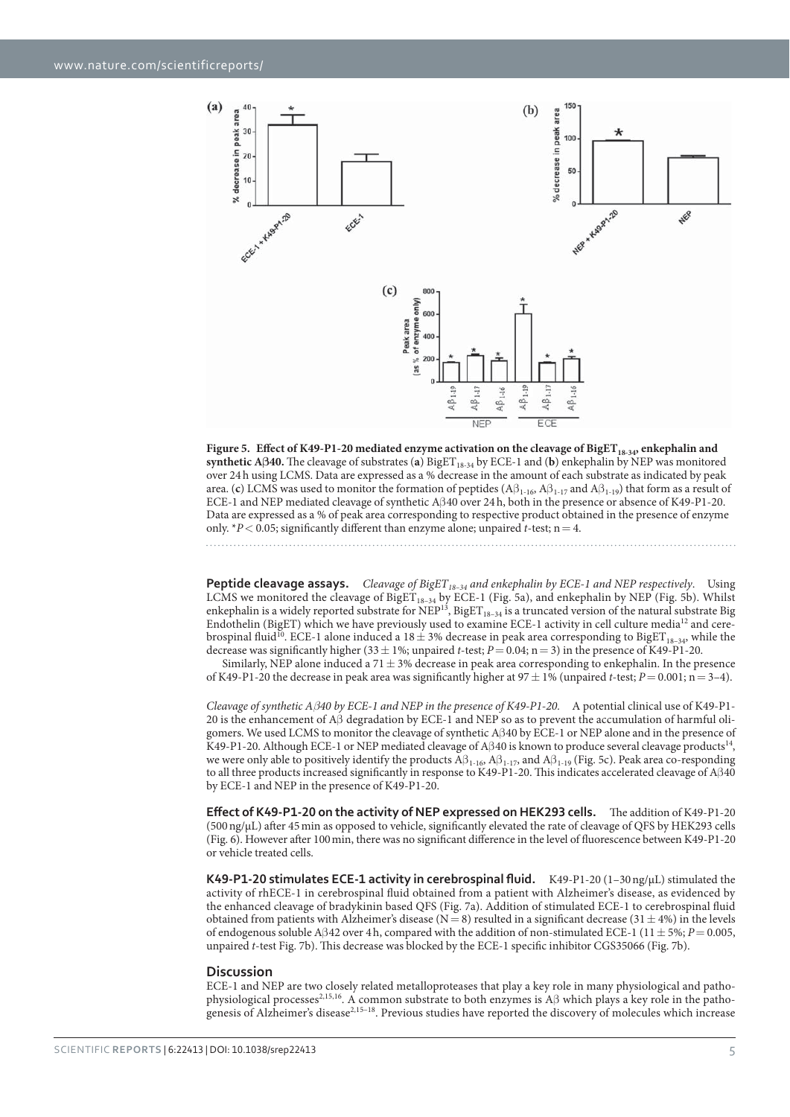

Figure 5. Effect of K49-P1-20 mediated enzyme activation on the cleavage of BigET<sub>18-34</sub>, enkephalin and **synthetic Aβ40.** The cleavage of substrates (**a**) BigET18-34 by ECE-1 and (**b**) enkephalin by NEP was monitored over 24 h using LCMS. Data are expressed as a % decrease in the amount of each substrate as indicated by peak area. (**c**) LCMS was used to monitor the formation of peptides (Aβ<sub>1-16</sub>, Aβ<sub>1-17</sub> and Aβ<sub>1-19</sub>) that form as a result of ECE-1 and NEP mediated cleavage of synthetic Aβ 40 over 24 h, both in the presence or absence of K49-P1-20. Data are expressed as a % of peak area corresponding to respective product obtained in the presence of enzyme only.  $*P < 0.05$ ; significantly different than enzyme alone; unpaired *t*-test; n = 4.

**Peptide cleavage assays.** Cleavage of BigET<sub>18-34</sub> and enkephalin by ECE-1 and NEP respectively. Using LCMS we monitored the cleavage of  $Big_{18-34}$  by ECE-1 (Fig. 5a), and enkephalin by NEP (Fig. 5b). Whilst enkephalin is a widely reported substrate for  $NEP^{13}$ , BigET<sub>18–34</sub> is a truncated version of the natural substrate Big Endothelin (BigET) which we have previously used to examine ECE-1 activity in cell culture media12 and cerebrospinal fluid<sup>10</sup>. ECE-1 alone induced a 18  $\pm$  3% decrease in peak area corresponding to BigET<sub>18-34</sub>, while the decrease was significantly higher (33  $\pm$  1%; unpaired *t*-test; *P* = 0.04; n = 3) in the presence of K49-P1-20.

Similarly, NEP alone induced a 71  $\pm$  3% decrease in peak area corresponding to enkephalin. In the presence of K49-P1-20 the decrease in peak area was significantly higher at  $97 \pm 1\%$  (unpaired *t*-test;  $P = 0.001$ ; n = 3–4).

*Cleavage of synthetic Aβ40 by ECE-1 and NEP in the presence of K49-P1-20.* A potential clinical use of K49-P1- 20 is the enhancement of Aβ degradation by ECE-1 and NEP so as to prevent the accumulation of harmful oligomers. We used LCMS to monitor the cleavage of synthetic Aβ 40 by ECE-1 or NEP alone and in the presence of K49-P1-20. Although ECE-1 or NEP mediated cleavage of Aβ40 is known to produce several cleavage products<sup>14</sup>, we were only able to positively identify the products  $\overrightarrow{A}\beta_{1-16}$ ,  $A\beta_{1-17}$ , and  $A\beta_{1-19}$  (Fig. 5c). Peak area co-responding to all three products increased significantly in response to K49-P1-20. This indicates accelerated cleavage of Aβ40 by ECE-1 and NEP in the presence of K49-P1-20.

Effect of K49-P1-20 on the activity of NEP expressed on HEK293 cells. The addition of K49-P1-20 (500 ng/μL) after 45 min as opposed to vehicle, significantly elevated the rate of cleavage of QFS by HEK293 cells (Fig. 6). However after 100 min, there was no significant difference in the level of fluorescence between K49-P1-20 or vehicle treated cells.

K49-P1-20 stimulates ECE-1 activity in cerebrospinal fluid. K49-P1-20 (1-30 ng/µL) stimulated the activity of rhECE-1 in cerebrospinal fluid obtained from a patient with Alzheimer's disease, as evidenced by the enhanced cleavage of bradykinin based QFS (Fig. 7a). Addition of stimulated ECE-1 to cerebrospinal fluid obtained from patients with Alzheimer's disease (N = 8) resulted in a significant decrease (31  $\pm$  4%) in the levels of endogenous soluble Aβ 42 over 4 h, compared with the addition of non-stimulated ECE-1 (11 ± 5%; *P*= 0.005, unpaired *t*-test Fig. 7b). This decrease was blocked by the ECE-1 specific inhibitor CGS35066 (Fig. 7b).

### **Discussion**

ECE-1 and NEP are two closely related metalloproteases that play a key role in many physiological and pathophysiological processes2,15,16. A common substrate to both enzymes is Aβ which plays a key role in the pathogenesis of Alzheimer's disease<sup>2,15–18</sup>. Previous studies have reported the discovery of molecules which increase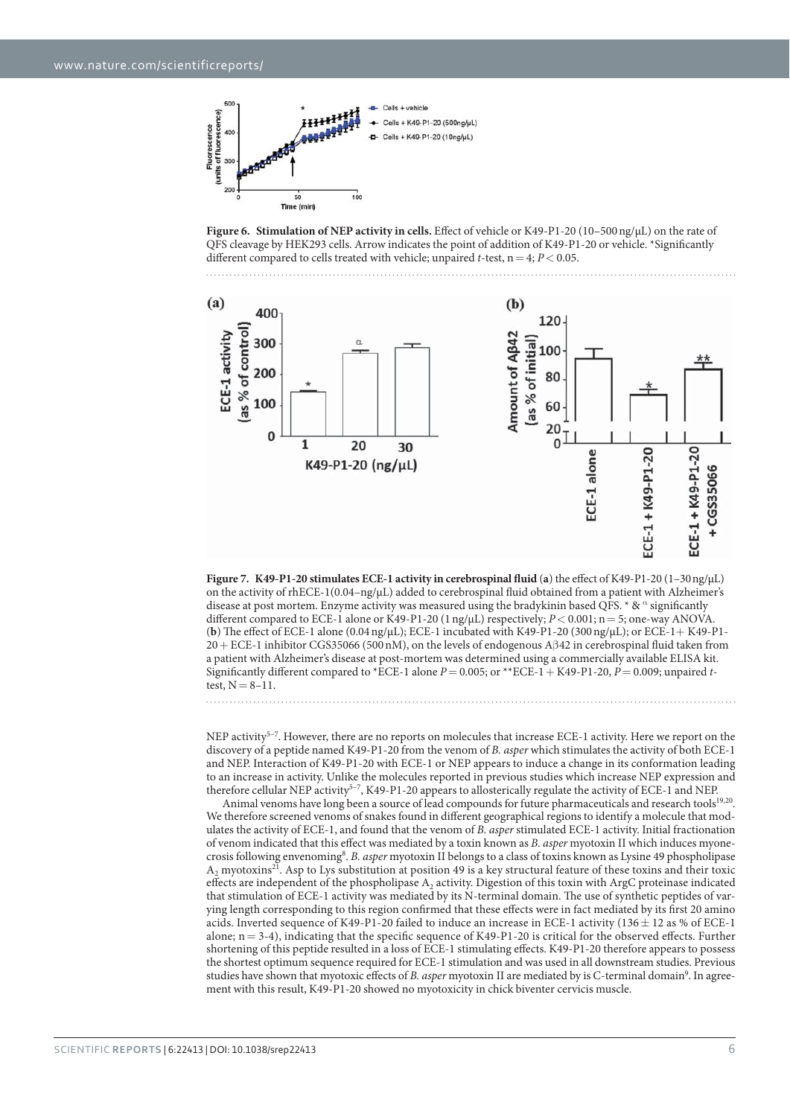

**Figure 6. Stimulation of NEP activity in cells.** Effect of vehicle or K49-P1-20 (10–500 ng/μL) on the rate of QFS cleavage by HEK293 cells. Arrow indicates the point of addition of K49-P1-20 or vehicle. \*Significantly different compared to cells treated with vehicle; unpaired *t*-test,  $n = 4$ ;  $P < 0.05$ .



**Figure 7. K49-P1-20 stimulates ECE-1 activity in cerebrospinal fluid** (**a**) the effect of K49-P1-20 (1–30 ng/μL) on the activity of rhECE-1(0.04–ng/μL) added to cerebrospinal fluid obtained from a patient with Alzheimer's disease at post mortem. Enzyme activity was measured using the bradykinin based QFS. \*  $\& \alpha$  significantly different compared to ECE-1 alone or K49-P1-20 (1 ng/μL) respectively; *P*< 0.001; n = 5; one-way ANOVA. (**b**) The effect of ECE-1 alone (0.04 ng/μL); ECE-1 incubated with K49-P1-20 (300 ng/μL); or ECE-1+ K49-P1- 20 + ECE-1 inhibitor CGS35066 (500 nM), on the levels of endogenous Aβ 42 in cerebrospinal fluid taken from a patient with Alzheimer's disease at post-mortem was determined using a commercially available ELISA kit. Significantly different compared to \*ECE-1 alone *P*= 0.005; or \*\*ECE-1 + K49-P1-20, *P*= 0.009; unpaired *t*test,  $N = 8 - 11$ .

NEP activity<sup>5–7</sup>. However, there are no reports on molecules that increase ECE-1 activity. Here we report on the discovery of a peptide named K49-P1-20 from the venom of *B. asper* which stimulates the activity of both ECE-1 and NEP. Interaction of K49-P1-20 with ECE-1 or NEP appears to induce a change in its conformation leading to an increase in activity. Unlike the molecules reported in previous studies which increase NEP expression and therefore cellular NEP activity<sup>5-7</sup>, K49-P1-20 appears to allosterically regulate the activity of ECE-1 and NEP.

Animal venoms have long been a source of lead compounds for future pharmaceuticals and research tools<sup>19,20</sup>. We therefore screened venoms of snakes found in different geographical regions to identify a molecule that modulates the activity of ECE-1, and found that the venom of *B. asper* stimulated ECE-1 activity. Initial fractionation of venom indicated that this effect was mediated by a toxin known as *B. asper* myotoxin II which induces myonecrosis following envenoming<sup>8</sup>. *B. asper* myotoxin II belongs to a class of toxins known as Lysine 49 phospholipase  $A_2$  myotoxins<sup>21</sup>. Asp to Lys substitution at position 49 is a key structural feature of these toxins and their toxic effects are independent of the phospholipase A2 activity. Digestion of this toxin with ArgC proteinase indicated that stimulation of ECE-1 activity was mediated by its N-terminal domain. The use of synthetic peptides of varying length corresponding to this region confirmed that these effects were in fact mediated by its first 20 amino acids. Inverted sequence of K49-P1-20 failed to induce an increase in ECE-1 activity ( $136 \pm 12$  as % of ECE-1 alone;  $n = 3-4$ ), indicating that the specific sequence of K49-P1-20 is critical for the observed effects. Further shortening of this peptide resulted in a loss of ECE-1 stimulating effects. K49-P1-20 therefore appears to possess the shortest optimum sequence required for ECE-1 stimulation and was used in all downstream studies. Previous studies have shown that myotoxic effects of *B. asper* myotoxin II are mediated by is C-terminal domain<sup>9</sup>. In agreement with this result, K49-P1-20 showed no myotoxicity in chick biventer cervicis muscle.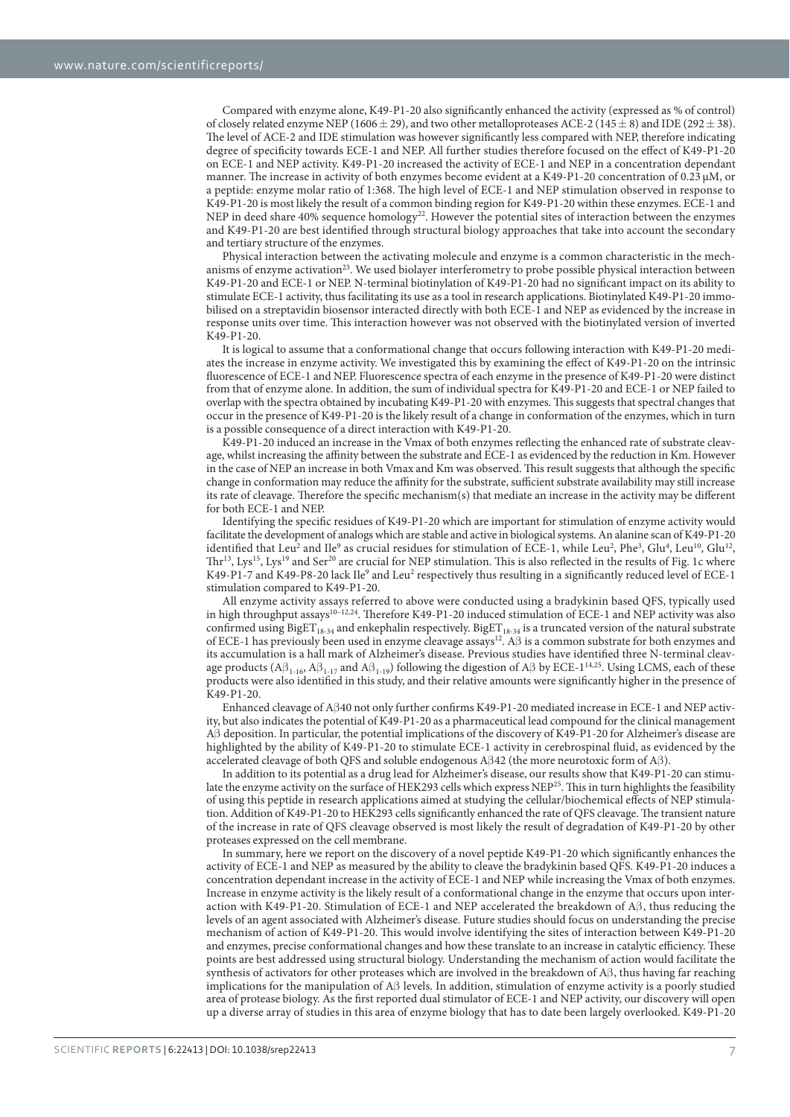Compared with enzyme alone, K49-P1-20 also significantly enhanced the activity (expressed as % of control) of closely related enzyme NEP (1606  $\pm$  29), and two other metalloproteases ACE-2 (145  $\pm$  8) and IDE (292  $\pm$  38). The level of ACE-2 and IDE stimulation was however significantly less compared with NEP, therefore indicating degree of specificity towards ECE-1 and NEP. All further studies therefore focused on the effect of K49-P1-20 on ECE-1 and NEP activity. K49-P1-20 increased the activity of ECE-1 and NEP in a concentration dependant manner. The increase in activity of both enzymes become evident at a K49-P1-20 concentration of 0.23 μM, or a peptide: enzyme molar ratio of 1:368. The high level of ECE-1 and NEP stimulation observed in response to K49-P1-20 is most likely the result of a common binding region for K49-P1-20 within these enzymes. ECE-1 and NEP in deed share 40% sequence homology<sup>22</sup>. However the potential sites of interaction between the enzymes and K49-P1-20 are best identified through structural biology approaches that take into account the secondary and tertiary structure of the enzymes.

Physical interaction between the activating molecule and enzyme is a common characteristic in the mechanisms of enzyme activation<sup>23</sup>. We used biolayer interferometry to probe possible physical interaction between K49-P1-20 and ECE-1 or NEP. N-terminal biotinylation of K49-P1-20 had no significant impact on its ability to stimulate ECE-1 activity, thus facilitating its use as a tool in research applications. Biotinylated K49-P1-20 immobilised on a streptavidin biosensor interacted directly with both ECE-1 and NEP as evidenced by the increase in response units over time. This interaction however was not observed with the biotinylated version of inverted K49-P1-20.

It is logical to assume that a conformational change that occurs following interaction with K49-P1-20 mediates the increase in enzyme activity. We investigated this by examining the effect of K49-P1-20 on the intrinsic fluorescence of ECE-1 and NEP. Fluorescence spectra of each enzyme in the presence of K49-P1-20 were distinct from that of enzyme alone. In addition, the sum of individual spectra for K49-P1-20 and ECE-1 or NEP failed to overlap with the spectra obtained by incubating K49-P1-20 with enzymes. This suggests that spectral changes that occur in the presence of K49-P1-20 is the likely result of a change in conformation of the enzymes, which in turn is a possible consequence of a direct interaction with K49-P1-20.

K49-P1-20 induced an increase in the Vmax of both enzymes reflecting the enhanced rate of substrate cleavage, whilst increasing the affinity between the substrate and ECE-1 as evidenced by the reduction in Km. However in the case of NEP an increase in both Vmax and Km was observed. This result suggests that although the specific change in conformation may reduce the affinity for the substrate, sufficient substrate availability may still increase its rate of cleavage. Therefore the specific mechanism(s) that mediate an increase in the activity may be different for both ECE-1 and NEP.

Identifying the specific residues of K49-P1-20 which are important for stimulation of enzyme activity would facilitate the development of analogs which are stable and active in biological systems. An alanine scan of K49-P1-20 identified that Leu<sup>2</sup> and Ile<sup>9</sup> as crucial residues for stimulation of ECE-1, while Leu<sup>2</sup>, Phe<sup>3</sup>, Glu<sup>4</sup>, Leu<sup>10</sup>, Glu<sup>12</sup>,  $Thr^{13}$ , Lys<sup>15</sup>, Lys<sup>19</sup> and Ser<sup>20</sup> are crucial for NEP stimulation. This is also reflected in the results of Fig. 1c where K49-P1-7 and K49-P8-20 lack Ile<sup>9</sup> and Leu<sup>2</sup> respectively thus resulting in a significantly reduced level of ECE-1 stimulation compared to K49-P1-20.

All enzyme activity assays referred to above were conducted using a bradykinin based QFS, typically used in high throughput assays<sup>10-12,24</sup>. Therefore K49-P1-20 induced stimulation of ECE-1 and NEP activity was also confirmed using  $BigET_{18-34}$  and enkephalin respectively. BigET<sub>18-34</sub> is a truncated version of the natural substrate of ECE-1 has previously been used in enzyme cleavage assays12. Aβ is a common substrate for both enzymes and its accumulation is a hall mark of Alzheimer's disease. Previous studies have identified three N-terminal cleavage products ( $A\beta_{1-16}$ ,  $A\beta_{1-17}$  and  $A\beta_{1-19}$ ) following the digestion of  $A\beta$  by ECE-1<sup>14,25</sup>. Using LCMS, each of these products were also identified in this study, and their relative amounts were significantly higher in the presence of K49-P1-20.

Enhanced cleavage of Aβ 40 not only further confirms K49-P1-20 mediated increase in ECE-1 and NEP activity, but also indicates the potential of K49-P1-20 as a pharmaceutical lead compound for the clinical management Aβ deposition. In particular, the potential implications of the discovery of K49-P1-20 for Alzheimer's disease are highlighted by the ability of K49-P1-20 to stimulate ECE-1 activity in cerebrospinal fluid, as evidenced by the accelerated cleavage of both QFS and soluble endogenous Aβ 42 (the more neurotoxic form of Aβ ).

In addition to its potential as a drug lead for Alzheimer's disease, our results show that K49-P1-20 can stimulate the enzyme activity on the surface of HEK293 cells which express NEP25. This in turn highlights the feasibility of using this peptide in research applications aimed at studying the cellular/biochemical effects of NEP stimulation. Addition of K49-P1-20 to HEK293 cells significantly enhanced the rate of QFS cleavage. The transient nature of the increase in rate of QFS cleavage observed is most likely the result of degradation of K49-P1-20 by other proteases expressed on the cell membrane.

In summary, here we report on the discovery of a novel peptide K49-P1-20 which significantly enhances the activity of ECE-1 and NEP as measured by the ability to cleave the bradykinin based QFS. K49-P1-20 induces a concentration dependant increase in the activity of ECE-1 and NEP while increasing the Vmax of both enzymes. Increase in enzyme activity is the likely result of a conformational change in the enzyme that occurs upon interaction with K49-P1-20. Stimulation of ECE-1 and NEP accelerated the breakdown of  $A\beta$ , thus reducing the levels of an agent associated with Alzheimer's disease. Future studies should focus on understanding the precise mechanism of action of K49-P1-20. This would involve identifying the sites of interaction between K49-P1-20 and enzymes, precise conformational changes and how these translate to an increase in catalytic efficiency. These points are best addressed using structural biology. Understanding the mechanism of action would facilitate the synthesis of activators for other proteases which are involved in the breakdown of Aβ , thus having far reaching implications for the manipulation of Aβ levels. In addition, stimulation of enzyme activity is a poorly studied area of protease biology. As the first reported dual stimulator of ECE-1 and NEP activity, our discovery will open up a diverse array of studies in this area of enzyme biology that has to date been largely overlooked. K49-P1-20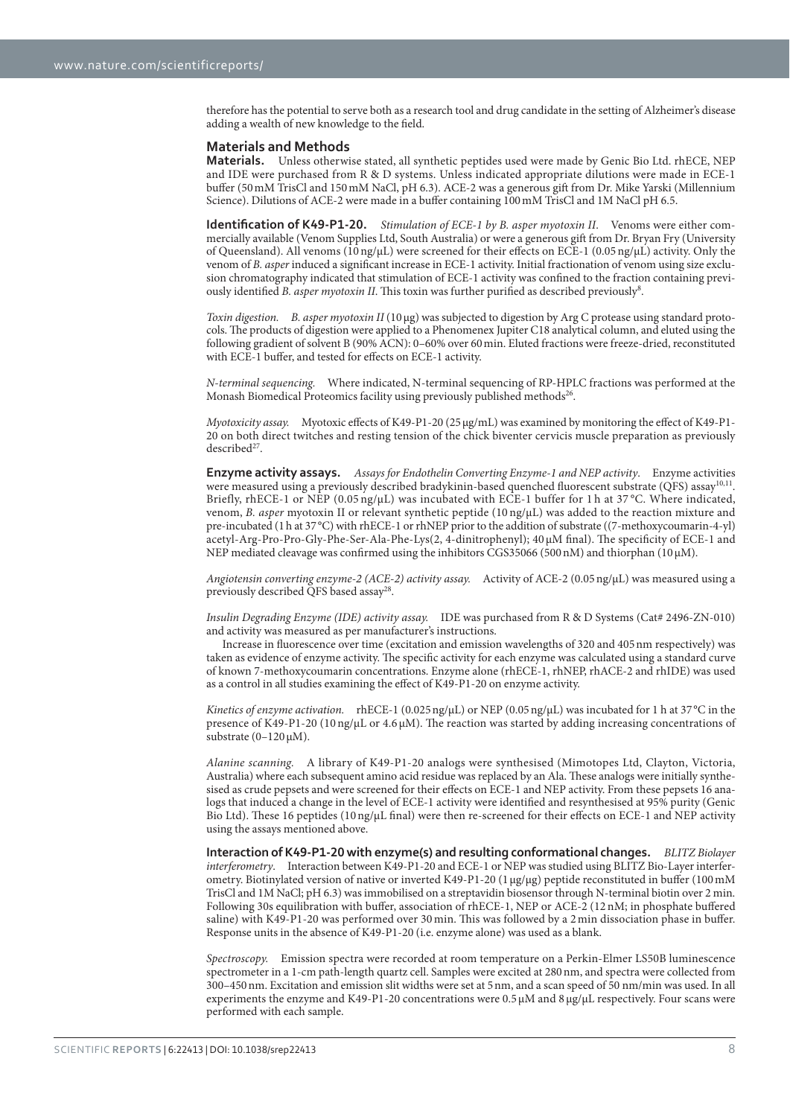therefore has the potential to serve both as a research tool and drug candidate in the setting of Alzheimer's disease adding a wealth of new knowledge to the field.

#### **Materials and Methods**

**Materials.** Unless otherwise stated, all synthetic peptides used were made by Genic Bio Ltd. rhECE, NEP and IDE were purchased from R & D systems. Unless indicated appropriate dilutions were made in ECE-1 buffer (50 mM TrisCl and 150 mM NaCl, pH 6.3). ACE-2 was a generous gift from Dr. Mike Yarski (Millennium Science). Dilutions of ACE-2 were made in a buffer containing 100 mM TrisCl and 1M NaCl pH 6.5.

**Identification of K49-P1-20.** Stimulation of ECE-1 by B. asper myotoxin II. Venoms were either commercially available (Venom Supplies Ltd, South Australia) or were a generous gift from Dr. Bryan Fry (University of Queensland). All venoms (10 ng/μL) were screened for their effects on ECE-1 (0.05 ng/μL) activity. Only the venom of *B. asper* induced a significant increase in ECE-1 activity. Initial fractionation of venom using size exclusion chromatography indicated that stimulation of ECE-1 activity was confined to the fraction containing previously identified *B. asper myotoxin II*. This toxin was further purified as described previously<sup>8</sup>.

*Toxin digestion. B. asper myotoxin II* (10 μg) was subjected to digestion by Arg C protease using standard protocols. The products of digestion were applied to a Phenomenex Jupiter C18 analytical column, and eluted using the following gradient of solvent B (90% ACN): 0–60% over 60 min. Eluted fractions were freeze-dried, reconstituted with ECE-1 buffer, and tested for effects on ECE-1 activity.

*N-terminal sequencing.* Where indicated, N-terminal sequencing of RP-HPLC fractions was performed at the Monash Biomedical Proteomics facility using previously published methods<sup>26</sup>.

*Myotoxicity assay.* Myotoxic effects of K49-P1-20 (25 μg/mL) was examined by monitoring the effect of K49-P1- 20 on both direct twitches and resting tension of the chick biventer cervicis muscle preparation as previously described<sup>27</sup>

**Enzyme activity assays.** *Assays for Endothelin Converting Enzyme-1 and NEP activity*. Enzyme activities were measured using a previously described bradykinin-based quenched fluorescent substrate (QFS) assay<sup>10,11</sup>. Briefly, rhECE-1 or NEP (0.05 ng/µL) was incubated with ECE-1 buffer for 1 h at 37 °C. Where indicated, venom, *B. asper* myotoxin II or relevant synthetic peptide (10 ng/μL) was added to the reaction mixture and pre-incubated (1 h at 37 °C) with rhECE-1 or rhNEP prior to the addition of substrate ((7-methoxycoumarin-4-yl) acetyl-Arg-Pro-Pro-Gly-Phe-Ser-Ala-Phe-Lys(2, 4-dinitrophenyl); 40 μM final). The specificity of ECE-1 and NEP mediated cleavage was confirmed using the inhibitors CGS35066 (500 nM) and thiorphan (10 μM).

*Angiotensin converting enzyme-2 (ACE-2) activity assay.* Activity of ACE-2 (0.05 ng/μL) was measured using a previously described OFS based assay<sup>28</sup>.

*Insulin Degrading Enzyme (IDE) activity assay.* IDE was purchased from R & D Systems (Cat# 2496-ZN-010) and activity was measured as per manufacturer's instructions.

Increase in fluorescence over time (excitation and emission wavelengths of 320 and 405 nm respectively) was taken as evidence of enzyme activity. The specific activity for each enzyme was calculated using a standard curve of known 7-methoxycoumarin concentrations. Enzyme alone (rhECE-1, rhNEP, rhACE-2 and rhIDE) was used as a control in all studies examining the effect of K49-P1-20 on enzyme activity.

*Kinetics of enzyme activation.* rhECE-1 (0.025 ng/μL) or NEP (0.05 ng/μL) was incubated for 1 h at 37 °C in the presence of K49-P1-20 (10 ng/μL or 4.6 μM). The reaction was started by adding increasing concentrations of substrate  $(0-120 \,\mu\text{M})$ .

*Alanine scanning.* A library of K49-P1-20 analogs were synthesised (Mimotopes Ltd, Clayton, Victoria, Australia) where each subsequent amino acid residue was replaced by an Ala. These analogs were initially synthesised as crude pepsets and were screened for their effects on ECE-1 and NEP activity. From these pepsets 16 analogs that induced a change in the level of ECE-1 activity were identified and resynthesised at 95% purity (Genic Bio Ltd). These 16 peptides (10 ng/μL final) were then re-screened for their effects on ECE-1 and NEP activity using the assays mentioned above.

**Interaction of K49-P1-20 with enzyme(s) and resulting conformational changes.** *BLITZ Biolayer interferometry*. Interaction between K49-P1-20 and ECE-1 or NEP was studied using BLITZ Bio-Layer interferometry. Biotinylated version of native or inverted K49-P1-20 (1 μg/μg) peptide reconstituted in buffer (100 mM TrisCl and 1M NaCl; pH 6.3) was immobilised on a streptavidin biosensor through N-terminal biotin over 2 min. Following 30s equilibration with buffer, association of rhECE-1, NEP or ACE-2 (12 nM; in phosphate buffered saline) with K49-P1-20 was performed over 30 min. This was followed by a 2 min dissociation phase in buffer. Response units in the absence of K49-P1-20 (i.e. enzyme alone) was used as a blank.

*Spectroscopy.* Emission spectra were recorded at room temperature on a Perkin-Elmer LS50B luminescence spectrometer in a 1-cm path-length quartz cell. Samples were excited at 280 nm, and spectra were collected from 300–450 nm. Excitation and emission slit widths were set at 5 nm, and a scan speed of 50 nm/min was used. In all experiments the enzyme and K49-P1-20 concentrations were 0.5 μM and 8 μg/μL respectively. Four scans were performed with each sample.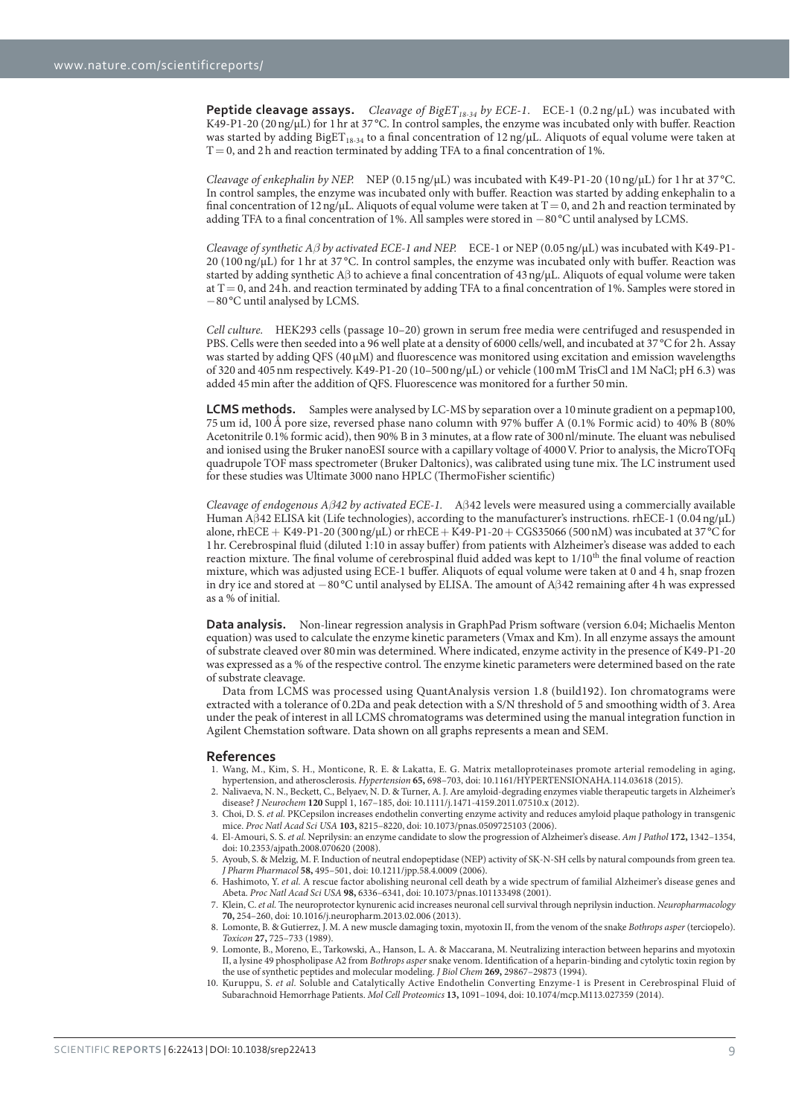**Peptide cleavage assays.** *Cleavage of BigET<sub>18-34</sub> by ECE-1*. ECE-1 (0.2 ng/μL) was incubated with K49-P1-20 (20 ng/μL) for 1 hr at 37 °C. In control samples, the enzyme was incubated only with buffer. Reaction was started by adding  $Big[<sub>18-34</sub>$  to a final concentration of 12 ng/μL. Aliquots of equal volume were taken at  $T = 0$ , and 2 h and reaction terminated by adding TFA to a final concentration of 1%.

*Cleavage of enkephalin by NEP.* NEP (0.15 ng/μL) was incubated with K49-P1-20 (10 ng/μL) for 1 hr at 37 °C. In control samples, the enzyme was incubated only with buffer. Reaction was started by adding enkephalin to a final concentration of  $12 \frac{\text{ng}}{\mu}$ . Aliquots of equal volume were taken at T = 0, and 2 h and reaction terminated by adding TFA to a final concentration of 1%. All samples were stored in − 80 °C until analysed by LCMS.

*Cleavage of synthetic Aβ by activated ECE-1 and NEP.* ECE-1 or NEP (0.05 ng/μL) was incubated with K49-P1- 20 (100 ng/μL) for 1 hr at 37 °C. In control samples, the enzyme was incubated only with buffer. Reaction was started by adding synthetic Aβ to achieve a final concentration of 43 ng/μL. Aliquots of equal volume were taken at  $T = 0$ , and 24 h. and reaction terminated by adding TFA to a final concentration of 1%. Samples were stored in − 80 °C until analysed by LCMS.

*Cell culture.* HEK293 cells (passage 10–20) grown in serum free media were centrifuged and resuspended in PBS. Cells were then seeded into a 96 well plate at a density of 6000 cells/well, and incubated at 37 °C for 2 h. Assay was started by adding QFS (40 μM) and fluorescence was monitored using excitation and emission wavelengths of 320 and 405 nm respectively. K49-P1-20 (10–500 ng/μL) or vehicle (100 mM TrisCl and 1M NaCl; pH 6.3) was added 45 min after the addition of QFS. Fluorescence was monitored for a further 50 min.

**LCMS methods.** Samples were analysed by LC-MS by separation over a 10 minute gradient on a pepmap100, 75 um id, 100 Ǻ pore size, reversed phase nano column with 97% buffer A (0.1% Formic acid) to 40% B (80% Acetonitrile 0.1% formic acid), then 90% B in 3 minutes, at a flow rate of 300 nl/minute. The eluant was nebulised and ionised using the Bruker nanoESI source with a capillary voltage of 4000 V. Prior to analysis, the MicroTOFq quadrupole TOF mass spectrometer (Bruker Daltonics), was calibrated using tune mix. The LC instrument used for these studies was Ultimate 3000 nano HPLC (ThermoFisher scientific)

*Cleavage of endogenous Aβ42 by activated ECE-1.* Aβ 42 levels were measured using a commercially available Human Aβ 42 ELISA kit (Life technologies), according to the manufacturer's instructions. rhECE-1 (0.04 ng/μL) alone, rhECE + K49-P1-20 (300 ng/ $\mu$ L) or rhECE + K49-P1-20 + CGS35066 (500 nM) was incubated at 37 °C for 1 hr. Cerebrospinal fluid (diluted 1:10 in assay buffer) from patients with Alzheimer's disease was added to each reaction mixture. The final volume of cerebrospinal fluid added was kept to 1/10<sup>th</sup> the final volume of reaction mixture, which was adjusted using ECE-1 buffer. Aliquots of equal volume were taken at 0 and 4 h, snap frozen in dry ice and stored at − 80 °C until analysed by ELISA. The amount of Aβ 42 remaining after 4 h was expressed as a % of initial.

**Data analysis.** Non-linear regression analysis in GraphPad Prism software (version 6.04; Michaelis Menton equation) was used to calculate the enzyme kinetic parameters (Vmax and Km). In all enzyme assays the amount of substrate cleaved over 80 min was determined. Where indicated, enzyme activity in the presence of K49-P1-20 was expressed as a % of the respective control. The enzyme kinetic parameters were determined based on the rate of substrate cleavage.

Data from LCMS was processed using QuantAnalysis version 1.8 (build192). Ion chromatograms were extracted with a tolerance of 0.2Da and peak detection with a S/N threshold of 5 and smoothing width of 3. Area under the peak of interest in all LCMS chromatograms was determined using the manual integration function in Agilent Chemstation software. Data shown on all graphs represents a mean and SEM.

#### **References**

- 1. Wang, M., Kim, S. H., Monticone, R. E. & Lakatta, E. G. Matrix metalloproteinases promote arterial remodeling in aging, hypertension, and atherosclerosis. *Hypertension* **65,** 698–703, doi: 10.1161/HYPERTENSIONAHA.114.03618 (2015).
- 2. Nalivaeva, N. N., Beckett, C., Belyaev, N. D. & Turner, A. J. Are amyloid-degrading enzymes viable therapeutic targets in Alzheimer's disease? *J Neurochem* **120** Suppl 1, 167–185, doi: 10.1111/j.1471-4159.2011.07510.x (2012).
- 3. Choi, D. S. *et al.* PKCepsilon increases endothelin converting enzyme activity and reduces amyloid plaque pathology in transgenic mice. *Proc Natl Acad Sci USA* **103,** 8215–8220, doi: 10.1073/pnas.0509725103 (2006).
- 4. El-Amouri, S. S. *et al.* Neprilysin: an enzyme candidate to slow the progression of Alzheimer's disease. *Am J Pathol* **172,** 1342–1354, doi: 10.2353/ajpath.2008.070620 (2008).
- 5. Ayoub, S. & Melzig, M. F. Induction of neutral endopeptidase (NEP) activity of SK-N-SH cells by natural compounds from green tea. *J Pharm Pharmacol* **58,** 495–501, doi: 10.1211/jpp.58.4.0009 (2006).
- 6. Hashimoto, Y. *et al.* A rescue factor abolishing neuronal cell death by a wide spectrum of familial Alzheimer's disease genes and Abeta. *Proc Natl Acad Sci USA* **98,** 6336–6341, doi: 10.1073/pnas.101133498 (2001).
- 7. Klein, C. *et al.* The neuroprotector kynurenic acid increases neuronal cell survival through neprilysin induction. *Neuropharmacology* **70,** 254–260, doi: 10.1016/j.neuropharm.2013.02.006 (2013). 8. Lomonte, B. & Gutierrez, J. M. A new muscle damaging toxin, myotoxin II, from the venom of the snake *Bothrops asper* (terciopelo).
- *Toxicon* **27,** 725–733 (1989).
- 9. Lomonte, B., Moreno, E., Tarkowski, A., Hanson, L. A. & Maccarana, M. Neutralizing interaction between heparins and myotoxin II, a lysine 49 phospholipase A2 from *Bothrops asper* snake venom. Identification of a heparin-binding and cytolytic toxin region by the use of synthetic peptides and molecular modeling. *J Biol Chem* **269,** 29867–29873 (1994).
- 10. Kuruppu, S. *et al.* Soluble and Catalytically Active Endothelin Converting Enzyme-1 is Present in Cerebrospinal Fluid of Subarachnoid Hemorrhage Patients. *Mol Cell Proteomics* **13,** 1091–1094, doi: 10.1074/mcp.M113.027359 (2014).